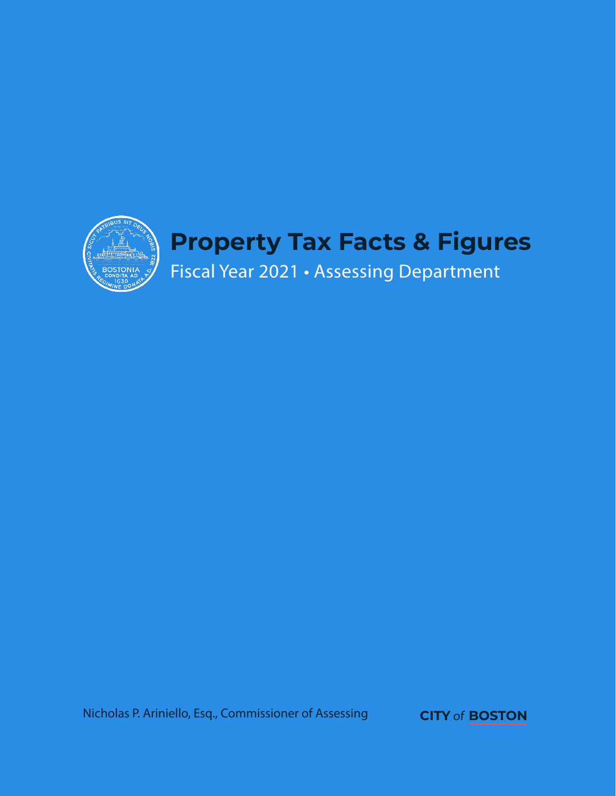

Nicholas P. Ariniello, Esq., Commissioner of Assessing **CITY** of**BOSTON**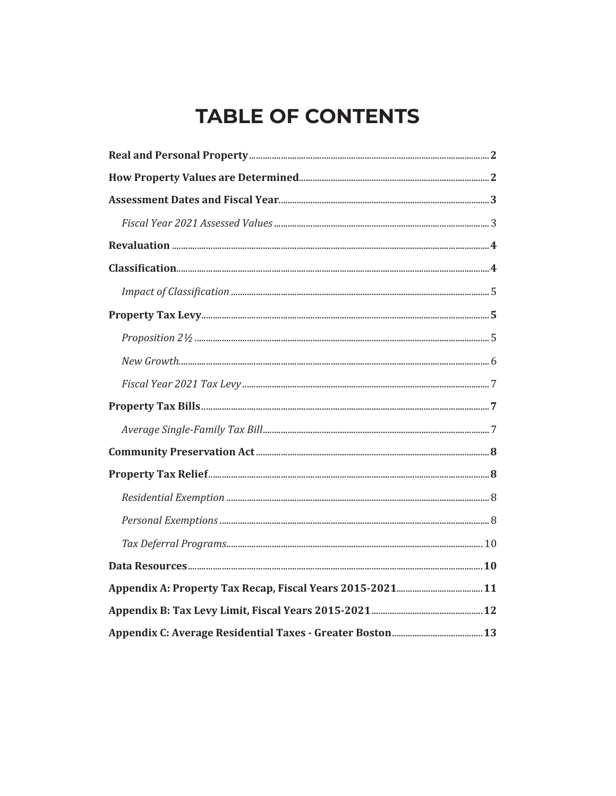# **TABLE OF CONTENTS**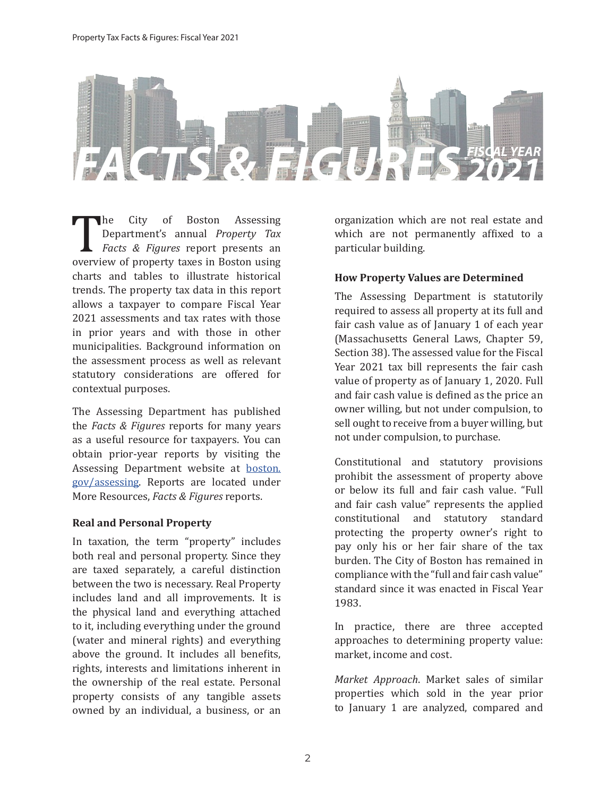

The City of Boston Assessing<br>Department's annual *Property Tax*<br>Facts & Figures report presents an<br>overview of property taxes in Boston using<br>charts and tables to illustrate historical Department's annual *Property Tax Facts & Figures* report presents an overview of property taxes in Boston using charts and tables to illustrate historical trends. The property tax data in this report allows a taxpayer to compare Fiscal Year 2021 assessments and tax rates with those in prior years and with those in other municipalities. Background information on the assessment process as well as relevant statutory considerations are offered for contextual purposes.

The Assessing Department has published the *Facts & Figures* reports for many years as a useful resource for taxpayers. You can obtain prior-year reports by visiting the Assessing Department website at boston. gov/assessing. Reports are located under More Resources, *Facts & Figures* reports.

### **Real and Personal Property**

In taxation, the term "property" includes both real and personal property. Since they are taxed separately, a careful distinction between the two is necessary. Real Property includes land and all improvements. It is the physical land and everything attached to it, including everything under the ground (water and mineral rights) and everything above the ground. It includes all benefits, rights, interests and limitations inherent in the ownership of the real estate. Personal property consists of any tangible assets owned by an individual, a business, or an organization which are not real estate and which are not permanently affixed to a particular building.

# **How Property Values are Determined**

The Assessing Department is statutorily required to assess all property at its full and fair cash value as of January 1 of each year (Massachusetts General Laws, Chapter 59, Section 38). The assessed value for the Fiscal Year 2021 tax bill represents the fair cash value of property as of January 1, 2020. Full and fair cash value is defined as the price an owner willing, but not under compulsion, to sell ought to receive from a buyer willing, but not under compulsion, to purchase.

Constitutional and statutory provisions prohibit the assessment of property above or below its full and fair cash value. "Full and fair cash value" represents the applied constitutional and statutory standard protecting the property owner's right to pay only his or her fair share of the tax burden. The City of Boston has remained in compliance with the "full and fair cash value" standard since it was enacted in Fiscal Year 1983.

In practice, there are three accepted approaches to determining property value: market, income and cost.

*Market Approach*. Market sales of similar properties which sold in the year prior to January 1 are analyzed, compared and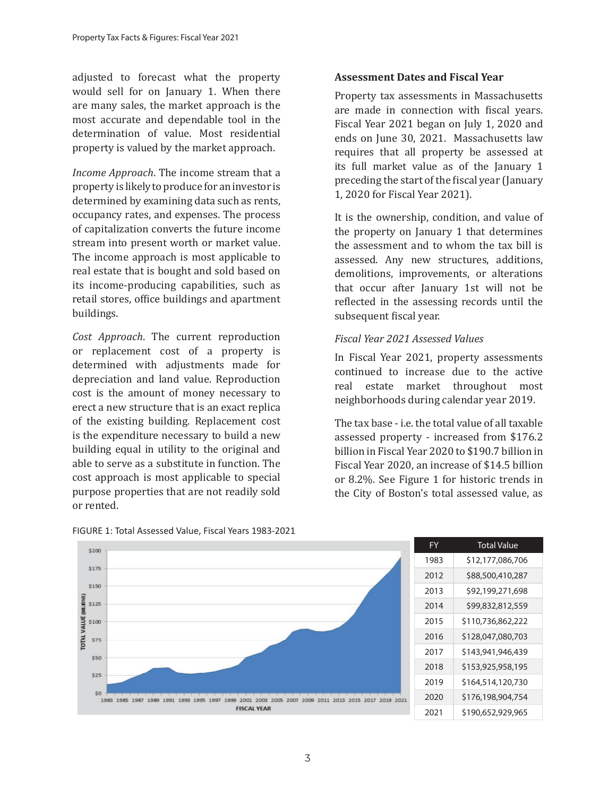adjusted to forecast what the property would sell for on January 1. When there are many sales, the market approach is the most accurate and dependable tool in the determination of value. Most residential property is valued by the market approach.

*Income Approach*. The income stream that a property is likely to produce for an investor is determined by examining data such as rents, occupancy rates, and expenses. The process of capitalization converts the future income stream into present worth or market value. The income approach is most applicable to real estate that is bought and sold based on its income-producing capabilities, such as retail stores, office buildings and apartment buildings.

*Cost Approach*. The current reproduction or replacement cost of a property is determined with adjustments made for depreciation and land value. Reproduction cost is the amount of money necessary to erect a new structure that is an exact replica of the existing building. Replacement cost is the expenditure necessary to build a new building equal in utility to the original and able to serve as a substitute in function. The cost approach is most applicable to special purpose properties that are not readily sold or rented.

### **Assessment Dates and Fiscal Year**

Property tax assessments in Massachusetts are made in connection with fiscal years. Fiscal Year 2021 began on July 1, 2020 and ends on June 30, 2021. Massachusetts law requires that all property be assessed at its full market value as of the January 1 preceding the start of the fiscal year (January 1, 2020 for Fiscal Year 2021).

It is the ownership, condition, and value of the property on January 1 that determines the assessment and to whom the tax bill is assessed. Any new structures, additions, demolitions, improvements, or alterations that occur after January 1st will not be reflected in the assessing records until the subsequent fiscal year.

### *Fiscal Year 2021 Assessed Values*

In Fiscal Year 2021, property assessments continued to increase due to the active real estate market throughout most neighborhoods during calendar year 2019.

The tax base - i.e. the total value of all taxable assessed property - increased from \$176.2 billion in Fiscal Year 2020 to \$190.7 billion in Fiscal Year 2020, an increase of \$14.5 billion or 8.2%. See Figure 1 for historic trends in the City of Boston's total assessed value, as



FIGURE 1: Total Assessed Value, Fiscal Years 1983-2021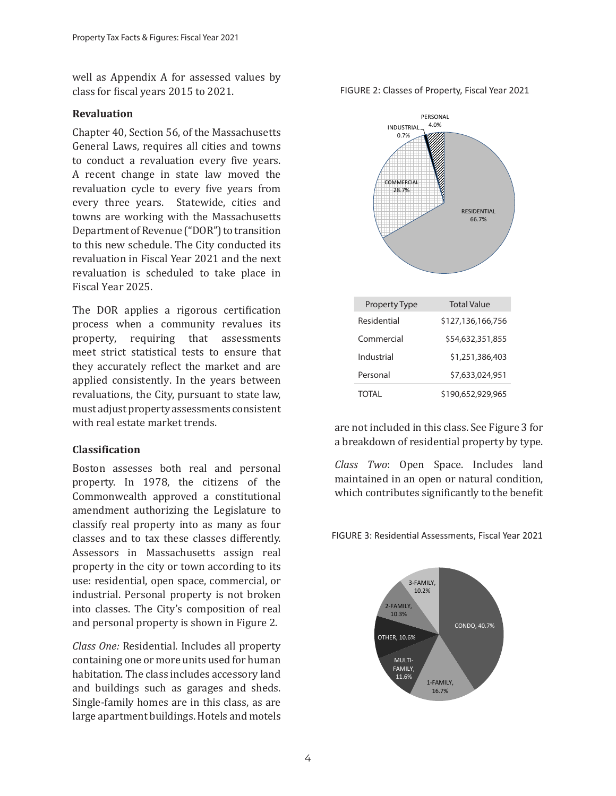well as Appendix A for assessed values by class for fiscal years 2015 to 2021.

#### **Revaluation**

Chapter 40, Section 56, of the Massachusetts General Laws, requires all cities and towns to conduct a revaluation every five years. A recent change in state law moved the revaluation cycle to every five years from every three years. Statewide, cities and towns are working with the Massachusetts Department of Revenue ("DOR") to transition to this new schedule. The City conducted its revaluation in Fiscal Year 2021 and the next revaluation is scheduled to take place in Fiscal Year 2025.

The DOR applies a rigorous certification process when a community revalues its property, requiring that assessments meet strict statistical tests to ensure that they accurately reflect the market and are applied consistently. In the years between revaluations, the City, pursuant to state law, must adjust property assessments consistent with real estate market trends.

### **Classification**

Boston assesses both real and personal property. In 1978, the citizens of the Commonwealth approved a constitutional amendment authorizing the Legislature to classify real property into as many as four classes and to tax these classes differently. Assessors in Massachusetts assign real property in the city or town according to its use: residential, open space, commercial, or industrial. Personal property is not broken into classes. The City's composition of real and personal property is shown in Figure 2.

*Class One:* Residential. Includes all property containing one or more units used for human habitation. The class includes accessory land and buildings such as garages and sheds. Single-family homes are in this class, as are large apartment buildings. Hotels and motels

FIGURE 2: Classes of Property, Fiscal Year 2021



are not included in this class. See Figure 3 for a breakdown of residential property by type.

*Class Two*: Open Space. Includes land maintained in an open or natural condition, which contributes significantly to the benefit

FIGURE 3: Residential Assessments, Fiscal Year 2021

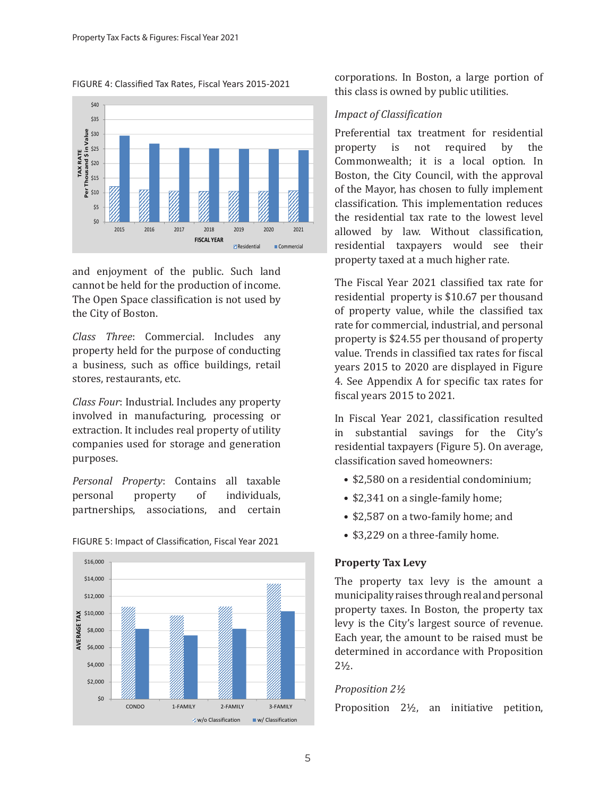FIGURE 4: Classified Tax Rates, Fiscal Years 2015-2021



and enjoyment of the public. Such land cannot be held for the production of income. The Open Space classification is not used by the City of Boston.

*Class Three*: Commercial. Includes any property held for the purpose of conducting a business, such as office buildings, retail stores, restaurants, etc.

*Class Four*: Industrial. Includes any property involved in manufacturing, processing or extraction. It includes real property of utility companies used for storage and generation purposes.

*Personal Property*: Contains all taxable personal property of individuals, partnerships, associations, and certain



#### FIGURE 5: Impact of Classification, Fiscal Year 2021

corporations. In Boston, a large portion of this class is owned by public utilities.

# *Impact of Classification*

Preferential tax treatment for residential property is not required by the Commonwealth; it is a local option. In Boston, the City Council, with the approval of the Mayor, has chosen to fully implement classification. This implementation reduces the residential tax rate to the lowest level allowed by law. Without classification, residential taxpayers would see their property taxed at a much higher rate.

The Fiscal Year 2021 classified tax rate for residential property is \$10.67 per thousand of property value, while the classified tax rate for commercial, industrial, and personal property is \$24.55 per thousand of property value. Trends in classified tax rates for fiscal years 2015 to 2020 are displayed in Figure 4. See Appendix A for specific tax rates for fiscal years 2015 to 2021.

In Fiscal Year 2021, classification resulted in substantial savings for the City's residential taxpayers (Figure 5). On average, classification saved homeowners:

- \$2,580 on a residential condominium;
- \$2,341 on a single-family home;
- \$2,587 on a two-family home; and
- \$3,229 on a three-family home.

# **Property Tax Levy**

The property tax levy is the amount a municipality raises through real and personal property taxes. In Boston, the property tax levy is the City's largest source of revenue. Each year, the amount to be raised must be determined in accordance with Proposition  $2\frac{1}{2}$ .

# *Proposition 2½*

Proposition 2½, an initiative petition,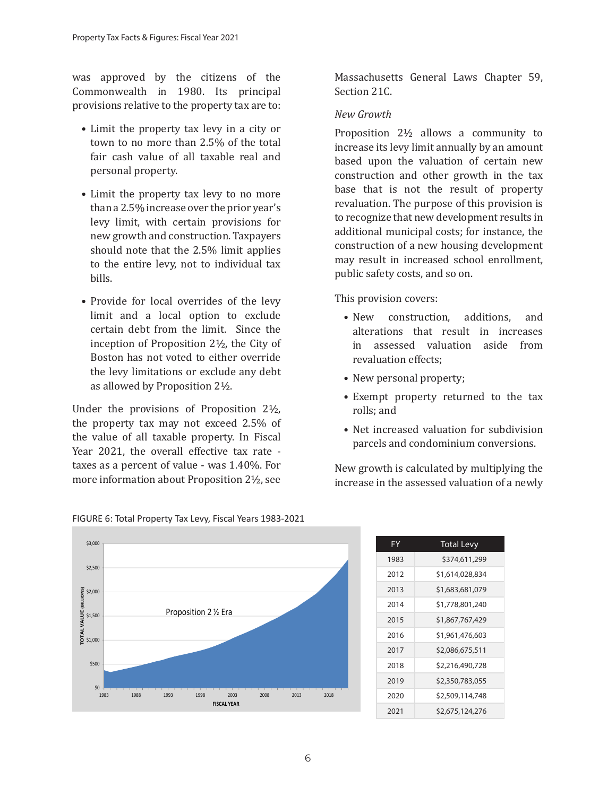was approved by the citizens of the Commonwealth in 1980. Its principal provisions relative to the property tax are to:

- Limit the property tax levy in a city or town to no more than 2.5% of the total fair cash value of all taxable real and personal property.
- Limit the property tax levy to no more than a 2.5% increase over the prior year's levy limit, with certain provisions for new growth and construction. Taxpayers should note that the 2.5% limit applies to the entire levy, not to individual tax bills.
- Provide for local overrides of the levy limit and a local option to exclude certain debt from the limit. Since the inception of Proposition 2½, the City of Boston has not voted to either override the levy limitations or exclude any debt as allowed by Proposition 2½.

Under the provisions of Proposition 2½, the property tax may not exceed 2.5% of the value of all taxable property. In Fiscal Year 2021, the overall effective tax rate taxes as a percent of value - was 1.40%. For more information about Proposition 2½, see

Massachusetts General Laws Chapter 59, Section 21C.

### *New Growth*

Proposition 2½ allows a community to increase its levy limit annually by an amount based upon the valuation of certain new construction and other growth in the tax base that is not the result of property revaluation. The purpose of this provision is to recognize that new development results in additional municipal costs; for instance, the construction of a new housing development may result in increased school enrollment, public safety costs, and so on.

This provision covers:

- New construction, additions, and alterations that result in increases in assessed valuation aside from revaluation effects;
- New personal property;
- Exempt property returned to the tax rolls; and
- Net increased valuation for subdivision parcels and condominium conversions.

New growth is calculated by multiplying the increase in the assessed valuation of a newly



| FIGURE 6: Total Property Tax Levy, Fiscal Years 1983-2021 |  |  |
|-----------------------------------------------------------|--|--|
|                                                           |  |  |

| FY   | <b>Total Levy</b> |
|------|-------------------|
| 1983 | \$374,611,299     |
| 2012 | \$1,614,028,834   |
| 2013 | \$1,683,681,079   |
| 2014 | \$1,778,801,240   |
| 2015 | \$1,867,767,429   |
| 2016 | \$1,961,476,603   |
| 2017 | \$2,086,675,511   |
| 2018 | \$2,216,490,728   |
| 2019 | \$2,350,783,055   |
| 2020 | \$2,509,114,748   |
| 2021 | \$2,675,124,276   |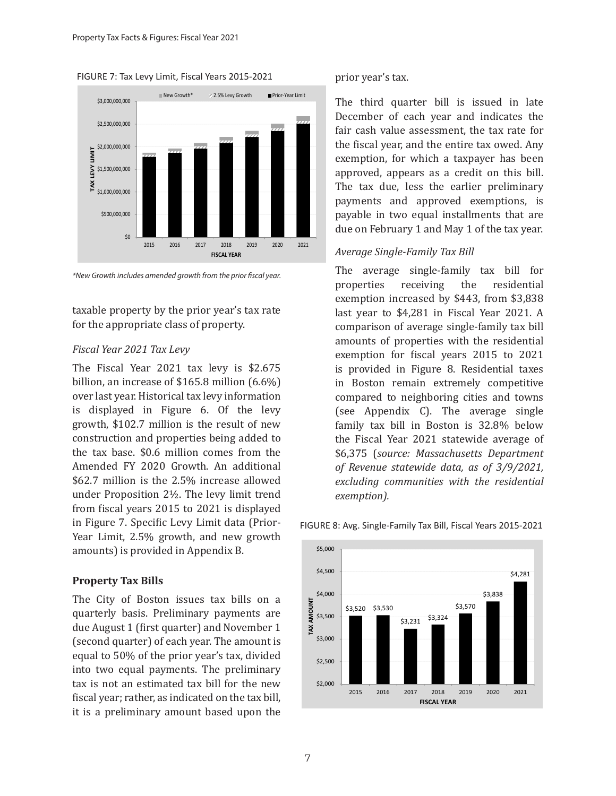



*\*New Growth includes amended growth from the prior fiscal year.*

taxable property by the prior year's tax rate for the appropriate class of property.

#### *Fiscal Year 2021 Tax Levy*

The Fiscal Year 2021 tax levy is \$2.675 billion, an increase of \$165.8 million (6.6%) over last year. Historical tax levy information is displayed in Figure 6. Of the levy growth, \$102.7 million is the result of new construction and properties being added to the tax base. \$0.6 million comes from the Amended FY 2020 Growth. An additional \$62.7 million is the 2.5% increase allowed under Proposition 2½. The levy limit trend from fiscal years 2015 to 2021 is displayed in Figure 7. Specific Levy Limit data (Prior-Year Limit, 2.5% growth, and new growth amounts) is provided in Appendix B.

#### **Property Tax Bills**

The City of Boston issues tax bills on a quarterly basis. Preliminary payments are due August 1 (first quarter) and November 1 (second quarter) of each year. The amount is equal to 50% of the prior year's tax, divided into two equal payments. The preliminary tax is not an estimated tax bill for the new fiscal year; rather, as indicated on the tax bill, it is a preliminary amount based upon the

prior year's tax.

The third quarter bill is issued in late December of each year and indicates the fair cash value assessment, the tax rate for the fiscal year, and the entire tax owed. Any exemption, for which a taxpayer has been approved, appears as a credit on this bill. The tax due, less the earlier preliminary payments and approved exemptions, is payable in two equal installments that are due on February 1 and May 1 of the tax year.

#### *Average Single-Family Tax Bill*

The average single-family tax bill for<br>properties receiving the residential properties receiving the residential exemption increased by \$443, from \$3,838 last year to \$4,281 in Fiscal Year 2021. A comparison of average single-family tax bill amounts of properties with the residential exemption for fiscal years 2015 to 2021 is provided in Figure 8. Residential taxes in Boston remain extremely competitive compared to neighboring cities and towns (see Appendix C). The average single family tax bill in Boston is 32.8% below the Fiscal Year 2021 statewide average of \$6,375 (*source: Massachusetts Department of Revenue statewide data, as of 3/9/2021, excluding communities with the residential exemption).*



#### FIGURE 8: Avg. Single-Family Tax Bill, Fiscal Years 2015-2021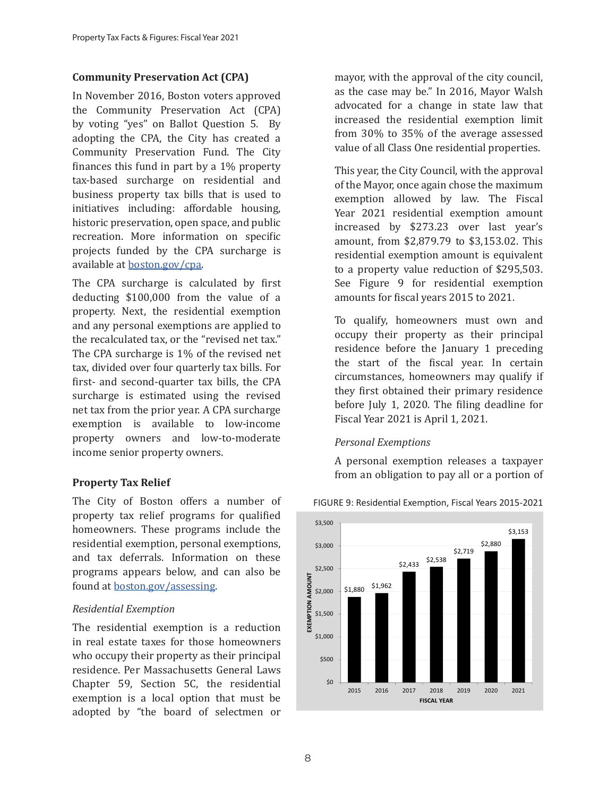# **Community Preservation Act (CPA)**

In November 2016, Boston voters approved the Community Preservation Act (CPA) by voting "yes" on Ballot Question 5. By adopting the CPA, the City has created a Community Preservation Fund. The City finances this fund in part by a 1% property tax-based surcharge on residential and business property tax bills that is used to initiatives including: affordable housing, historic preservation, open space, and public recreation. More information on specific projects funded by the CPA surcharge is available at boston.gov/cpa.

The CPA surcharge is calculated by first deducting \$100,000 from the value of a property. Next, the residential exemption and any personal exemptions are applied to the recalculated tax, or the "revised net tax." The CPA surcharge is 1% of the revised net tax, divided over four quarterly tax bills. For first- and second-quarter tax bills, the CPA surcharge is estimated using the revised net tax from the prior year. A CPA surcharge exemption is available to low-income property owners and low-to-moderate income senior property owners.

# **Property Tax Relief**

The City of Boston offers a number of property tax relief programs for qualified homeowners. These programs include the residential exemption, personal exemptions, and tax deferrals. Information on these programs appears below, and can also be found at boston.gov/assessing.

# *Residential Exemption*

The residential exemption is a reduction in real estate taxes for those homeowners who occupy their property as their principal residence. Per Massachusetts General Laws Chapter 59, Section 5C, the residential exemption is a local option that must be adopted by "the board of selectmen or mayor, with the approval of the city council, as the case may be." In 2016, Mayor Walsh advocated for a change in state law that increased the residential exemption limit from 30% to 35% of the average assessed value of all Class One residential properties.

This year, the City Council, with the approval of the Mayor, once again chose the maximum exemption allowed by law. The Fiscal Year 2021 residential exemption amount increased by \$273.23 over last year's amount, from \$2,879.79 to \$3,153.02. This residential exemption amount is equivalent to a property value reduction of \$295,503. See Figure 9 for residential exemption amounts for fiscal years 2015 to 2021.

To qualify, homeowners must own and occupy their property as their principal residence before the January 1 preceding the start of the fiscal year. In certain circumstances, homeowners may qualify if they first obtained their primary residence before July 1, 2020. The filing deadline for Fiscal Year 2021 is April 1, 2021.

# *Personal Exemptions*

A personal exemption releases a taxpayer from an obligation to pay all or a portion of



#### FIGURE 9: Residential Exemption, Fiscal Years 2015-2021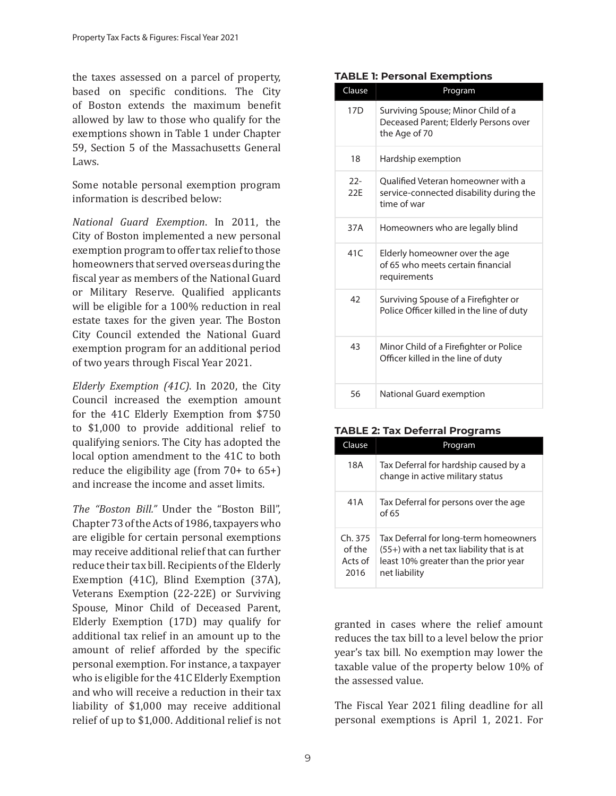the taxes assessed on a parcel of property, based on specific conditions. The City of Boston extends the maximum benefit allowed by law to those who qualify for the exemptions shown in Table 1 under Chapter 59, Section 5 of the Massachusetts General Laws.

Some notable personal exemption program information is described below:

*National Guard Exemption*. In 2011, the City of Boston implemented a new personal exemption program to offer tax relief to those homeowners that served overseas during the fiscal year as members of the National Guard or Military Reserve. Qualified applicants will be eligible for a 100% reduction in real estate taxes for the given year. The Boston City Council extended the National Guard exemption program for an additional period of two years through Fiscal Year 2021.

*Elderly Exemption (41C)*. In 2020, the City Council increased the exemption amount for the 41C Elderly Exemption from \$750 to \$1,000 to provide additional relief to qualifying seniors. The City has adopted the local option amendment to the 41C to both reduce the eligibility age (from 70+ to 65+) and increase the income and asset limits.

*The "Boston Bill."* Under the "Boston Bill", Chapter 73 of the Acts of 1986, taxpayers who are eligible for certain personal exemptions may receive additional relief that can further reduce their tax bill. Recipients of the Elderly Exemption (41C), Blind Exemption (37A), Veterans Exemption (22-22E) or Surviving Spouse, Minor Child of Deceased Parent, Elderly Exemption (17D) may qualify for additional tax relief in an amount up to the amount of relief afforded by the specific personal exemption. For instance, a taxpayer who is eligible for the 41C Elderly Exemption and who will receive a reduction in their tax liability of \$1,000 may receive additional relief of up to \$1,000. Additional relief is not

#### **TABLE 1: Personal Exemptions**

| Clause          | Program                                                                                      |
|-----------------|----------------------------------------------------------------------------------------------|
| 17 <sub>D</sub> | Surviving Spouse; Minor Child of a<br>Deceased Parent; Elderly Persons over<br>the Age of 70 |
| 18              | Hardship exemption                                                                           |
| $22-$<br>22F    | Qualified Veteran homeowner with a<br>service-connected disability during the<br>time of war |
| 37A             | Homeowners who are legally blind                                                             |
| 41C             | Elderly homeowner over the age<br>of 65 who meets certain financial<br>requirements          |
| 42              | Surviving Spouse of a Firefighter or<br>Police Officer killed in the line of duty            |
| 43              | Minor Child of a Firefighter or Police<br>Officer killed in the line of duty                 |
| 56              | National Guard exemption                                                                     |

#### **TABLE 2: Tax Deferral Programs**

| Clause                              | Program                                                                                                                                        |
|-------------------------------------|------------------------------------------------------------------------------------------------------------------------------------------------|
| 18A                                 | Tax Deferral for hardship caused by a<br>change in active military status                                                                      |
| 41A                                 | Tax Deferral for persons over the age<br>of 65                                                                                                 |
| Ch.375<br>of the<br>Acts of<br>2016 | Tax Deferral for long-term homeowners<br>$(55+)$ with a net tax liability that is at<br>least 10% greater than the prior year<br>net liability |

granted in cases where the relief amount reduces the tax bill to a level below the prior year's tax bill. No exemption may lower the taxable value of the property below 10% of the assessed value.

The Fiscal Year 2021 filing deadline for all personal exemptions is April 1, 2021. For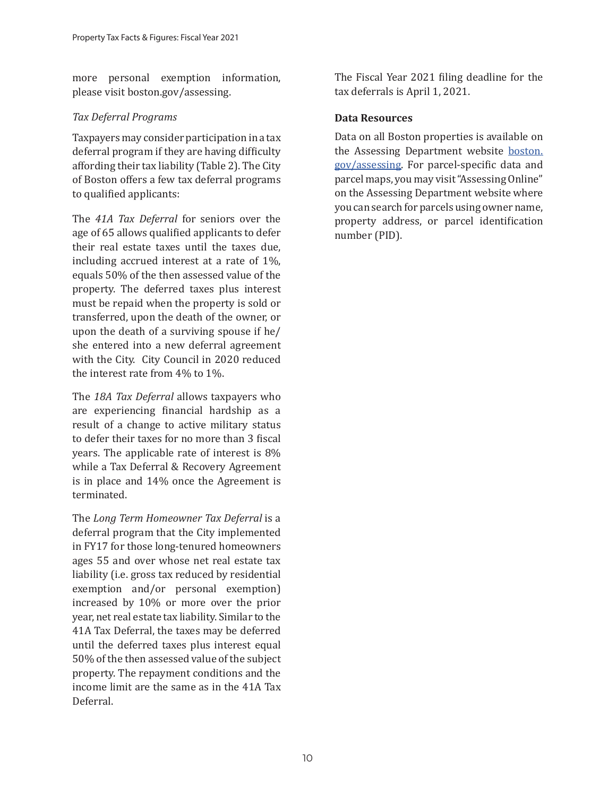more personal exemption information, please visit boston.gov/assessing.

# *Tax Deferral Programs*

Taxpayers may consider participation in a tax deferral program if they are having difficulty affording their tax liability (Table 2). The City of Boston offers a few tax deferral programs to qualified applicants:

The *41A Tax Deferral* for seniors over the age of 65 allows qualified applicants to defer their real estate taxes until the taxes due, including accrued interest at a rate of 1%, equals 50% of the then assessed value of the property. The deferred taxes plus interest must be repaid when the property is sold or transferred, upon the death of the owner, or upon the death of a surviving spouse if he/ she entered into a new deferral agreement with the City. City Council in 2020 reduced the interest rate from 4% to 1%.

The *18A Tax Deferral* allows taxpayers who are experiencing financial hardship as a result of a change to active military status to defer their taxes for no more than 3 fiscal years. The applicable rate of interest is 8% while a Tax Deferral & Recovery Agreement is in place and 14% once the Agreement is terminated.

The *Long Term Homeowner Tax Deferral* is a deferral program that the City implemented in FY17 for those long-tenured homeowners ages 55 and over whose net real estate tax liability (i.e. gross tax reduced by residential exemption and/or personal exemption) increased by 10% or more over the prior year, net real estate tax liability. Similar to the 41A Tax Deferral, the taxes may be deferred until the deferred taxes plus interest equal 50% of the then assessed value of the subject property. The repayment conditions and the income limit are the same as in the 41A Tax Deferral.

The Fiscal Year 2021 filing deadline for the tax deferrals is April 1, 2021.

# **Data Resources**

Data on all Boston properties is available on the Assessing Department website boston. gov/assessing. For parcel-specific data and parcel maps, you may visit "Assessing Online" on the Assessing Department website where you can search for parcels using owner name, property address, or parcel identification number (PID).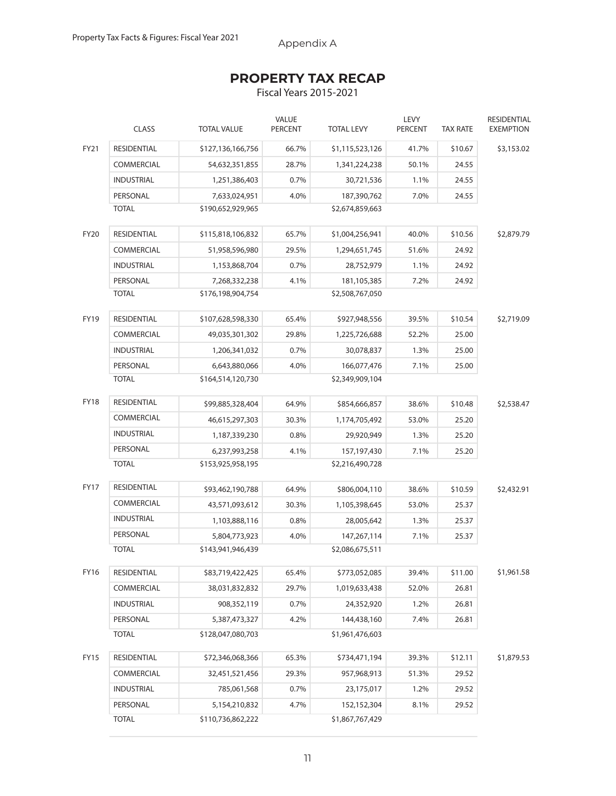Appendix A

# **PROPERTY TAX RECAP**

Fiscal Years 2015-2021

|             | <b>CLASS</b>       | <b>TOTAL VALUE</b> | <b>VALUE</b><br><b>PERCENT</b> | <b>TOTAL LEVY</b> | LEVY<br><b>PERCENT</b> | <b>TAX RATE</b> | RESIDENTIAL<br><b>EXEMPTION</b> |
|-------------|--------------------|--------------------|--------------------------------|-------------------|------------------------|-----------------|---------------------------------|
| FY21        | <b>RESIDENTIAL</b> | \$127,136,166,756  | 66.7%                          | \$1,115,523,126   | 41.7%                  | \$10.67         | \$3,153.02                      |
|             | <b>COMMERCIAL</b>  | 54,632,351,855     | 28.7%                          | 1,341,224,238     | 50.1%                  | 24.55           |                                 |
|             | <b>INDUSTRIAL</b>  | 1,251,386,403      | 0.7%                           | 30,721,536        | 1.1%                   | 24.55           |                                 |
|             | PERSONAL           | 7,633,024,951      | 4.0%                           | 187,390,762       | 7.0%                   | 24.55           |                                 |
|             | <b>TOTAL</b>       | \$190,652,929,965  |                                | \$2,674,859,663   |                        |                 |                                 |
| <b>FY20</b> | RESIDENTIAL        | \$115,818,106,832  | 65.7%                          | \$1,004,256,941   | 40.0%                  | \$10.56         | \$2,879.79                      |
|             | <b>COMMERCIAL</b>  | 51,958,596,980     | 29.5%                          | 1,294,651,745     | 51.6%                  | 24.92           |                                 |
|             | <b>INDUSTRIAL</b>  | 1,153,868,704      | 0.7%                           | 28,752,979        | 1.1%                   | 24.92           |                                 |
|             | PERSONAL           | 7,268,332,238      | 4.1%                           | 181,105,385       | 7.2%                   | 24.92           |                                 |
|             | <b>TOTAL</b>       | \$176,198,904,754  |                                | \$2,508,767,050   |                        |                 |                                 |
| <b>FY19</b> | <b>RESIDENTIAL</b> | \$107,628,598,330  | 65.4%                          | \$927,948,556     | 39.5%                  | \$10.54         | \$2,719.09                      |
|             | COMMERCIAL         | 49,035,301,302     | 29.8%                          | 1,225,726,688     | 52.2%                  | 25.00           |                                 |
|             | <b>INDUSTRIAL</b>  | 1,206,341,032      | 0.7%                           | 30,078,837        | 1.3%                   | 25.00           |                                 |
|             | PERSONAL           | 6,643,880,066      | 4.0%                           | 166,077,476       | 7.1%                   | 25.00           |                                 |
|             | <b>TOTAL</b>       | \$164,514,120,730  |                                | \$2,349,909,104   |                        |                 |                                 |
| <b>FY18</b> | RESIDENTIAL        | \$99,885,328,404   | 64.9%                          | \$854,666,857     | 38.6%                  | \$10.48         | \$2,538.47                      |
|             | COMMERCIAL         | 46,615,297,303     | 30.3%                          | 1,174,705,492     | 53.0%                  | 25.20           |                                 |
|             | <b>INDUSTRIAL</b>  | 1,187,339,230      | 0.8%                           | 29,920,949        | 1.3%                   | 25.20           |                                 |
|             | PERSONAL           | 6,237,993,258      | 4.1%                           | 157,197,430       | 7.1%                   | 25.20           |                                 |
|             | <b>TOTAL</b>       | \$153,925,958,195  |                                | \$2,216,490,728   |                        |                 |                                 |
| <b>FY17</b> | RESIDENTIAL        | \$93,462,190,788   | 64.9%                          | \$806,004,110     | 38.6%                  | \$10.59         | \$2,432.91                      |
|             | COMMERCIAL         | 43,571,093,612     | 30.3%                          | 1,105,398,645     | 53.0%                  | 25.37           |                                 |
|             | <b>INDUSTRIAL</b>  | 1,103,888,116      | 0.8%                           | 28,005,642        | 1.3%                   | 25.37           |                                 |
|             | PERSONAL           | 5,804,773,923      | 4.0%                           | 147,267,114       | 7.1%                   | 25.37           |                                 |
|             | <b>TOTAL</b>       | \$143,941,946,439  |                                | \$2,086,675,511   |                        |                 |                                 |
| FY16        | RESIDENTIAL        | \$83,719,422,425   | 65.4%                          | \$773,052,085     | 39.4%                  | \$11.00         | \$1,961.58                      |
|             | COMMERCIAL         | 38,031,832,832     | 29.7%                          | 1,019,633,438     | 52.0%                  | 26.81           |                                 |
|             | <b>INDUSTRIAL</b>  | 908,352,119        | 0.7%                           | 24,352,920        | 1.2%                   | 26.81           |                                 |
|             | PERSONAL           | 5,387,473,327      | 4.2%                           | 144,438,160       | 7.4%                   | 26.81           |                                 |
|             | <b>TOTAL</b>       | \$128,047,080,703  |                                | \$1,961,476,603   |                        |                 |                                 |
| FY15        | RESIDENTIAL        | \$72,346,068,366   | 65.3%                          | \$734,471,194     | 39.3%                  | \$12.11         | \$1,879.53                      |
|             | COMMERCIAL         | 32,451,521,456     | 29.3%                          | 957,968,913       | 51.3%                  | 29.52           |                                 |
|             | <b>INDUSTRIAL</b>  | 785,061,568        | 0.7%                           | 23,175,017        | 1.2%                   | 29.52           |                                 |
|             | PERSONAL           | 5,154,210,832      | 4.7%                           | 152,152,304       | 8.1%                   | 29.52           |                                 |
|             | <b>TOTAL</b>       | \$110,736,862,222  |                                | \$1,867,767,429   |                        |                 |                                 |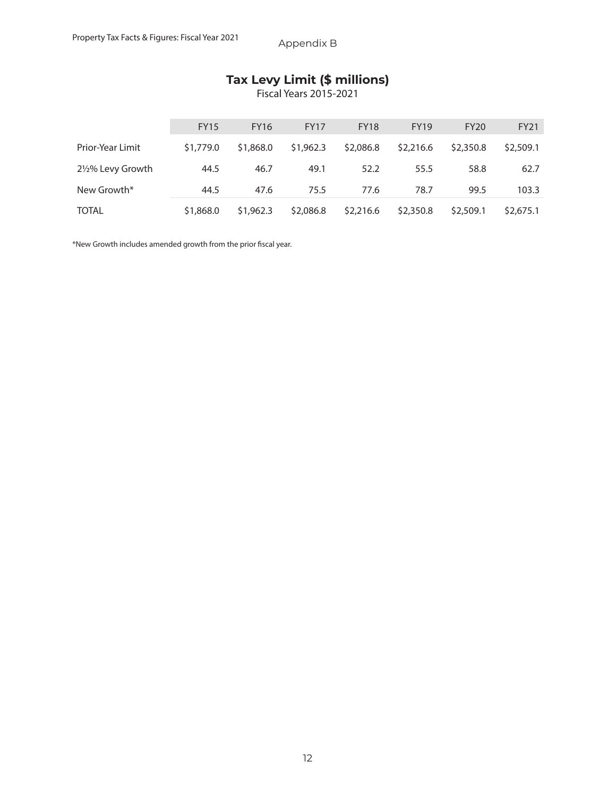# **Tax Levy Limit (\$ millions)**

Fiscal Years 2015-2021

|                  | <b>FY15</b> | <b>FY16</b> | <b>FY17</b> | <b>FY18</b> | <b>FY19</b> | <b>FY20</b> | <b>FY21</b> |
|------------------|-------------|-------------|-------------|-------------|-------------|-------------|-------------|
| Prior-Year Limit | \$1,779.0   | \$1,868.0   | \$1,962.3   | \$2,086.8   | \$2,216.6   | \$2,350.8   | \$2,509.1   |
| 2½% Levy Growth  | 44.5        | 46.7        | 49.1        | 52.2        | 55.5        | 58.8        | 62.7        |
| New Growth*      | 44.5        | 47.6        | 75.5        | 77.6        | 78.7        | 99.5        | 103.3       |
| <b>TOTAL</b>     | \$1,868.0   | \$1,962.3   | \$2,086.8   | \$2,216.6   | \$2,350.8   | \$2,509.1   | \$2,675.1   |

\*New Growth includes amended growth from the prior fiscal year.